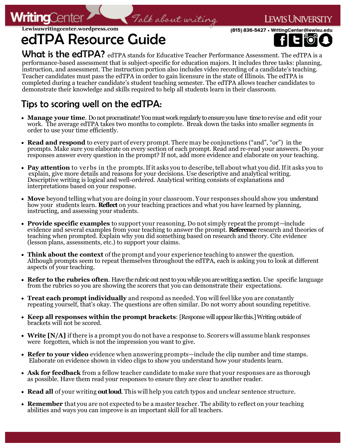

(815) 836-5427 • WritingCenter@lewisu.

### **Lewisuwritingcenter.wordpress.com** edTPA Resource Guide



ewis Univers

What is the edTPA? edTPA stands for Educative Teacher Performance Assessment. The edTPA is a performance-based assessment that is subject-specific for education majors. It includes three tasks: planning, instruction, and assessment. The instruction portion also includes video recording of a candidate's teaching. Teacher candidates must pass the edTPA in order to gain licensure in the state of Illinois. The edTPA is completed during a teacher candidate's student teaching semester. The edTPA allows teacher candidates to demonstrate their knowledge and skills required to help all students learn in their classroom.

## Tips to scoring well on the edTPA:

- **Manage your time**. Do not procrastinate! You must work regularly to ensure you have time to revise and edit your work. The average edTPA takes two months to complete. Break down the tasks into smaller segments in order to use your time efficiently.
- **Read and respond** to every part of every prompt. There may be conjunctions ("and", "or") in the prompts. Make sure you elaborate on every section of each prompt. Read and re-read your answers. Do your responses answer every question in the prompt? If not, add more evidence and elaborate on your teaching.
- **Pay attention** to verbs in the prompts. If it asks you to describe, tell about what you did. If it asks you to explain, give more details and reasons for your decisions. Use descriptive and analytical writing. Descriptive writing is logical and well-ordered. Analytical writing consists of explanations and interpretations based on your response.
- **Move** beyond telling what you are doing in your classroom. Your responses should show you understand how your students learn. **Reflect** on your teaching practices and what you have learned by planning, instructing, and assessing your students.
- **Provide specific examples** to support your reasoning. Do not simply repeat the prompt—include evidence and several examples from your teaching to answer the prompt. **Reference** research and theories of teaching when prompted. Explain why you did something based on research and theory. Cite evidence (lesson plans, assessments, etc.) to support your claims.
- **Think about the context** of the prompt and your experience teaching to answer the question. Although prompts seem to repeat themselves throughout the edTPA, each is asking you to look at different aspects of your teaching.
- **Refer to the rubrics often**. Have the rubric out next to you while you are writing a section. Use specific language from the rubrics so you are showing the scorers that you can demonstrate their expectations.
- **Treat each prompt individually** and respond as needed. You will feel like you are constantly repeating yourself, that's okay. The questions are often similar. Do not worry about sounding repetitive.
- **Keep all responses within the prompt brackets**: [Response will appear like this.] Writing outside of brackets will not be scored.
- **Write [N/A]** if there is a prompt you do not have a response to. Scorers will assume blank responses were forgotten, which is not the impression you want to give.
- **Refer to your video** evidence when answering prompts—include the clip number and time stamps. Elaborate on evidence shown in video clips to show you understand how your students learn.
- **Ask for feedback** from a fellow teacher candidate to make sure that your responses are as thorough as possible. Have them read your responses to ensure they are clear to another reader.
- **Read all** of your writing **out loud**. This will help you catch typos and unclear sentence structure.
- **Remember** that you are not expected to be a master teacher. The ability to reflect on your teaching abilities and ways you can improve is an important skill for all teachers.